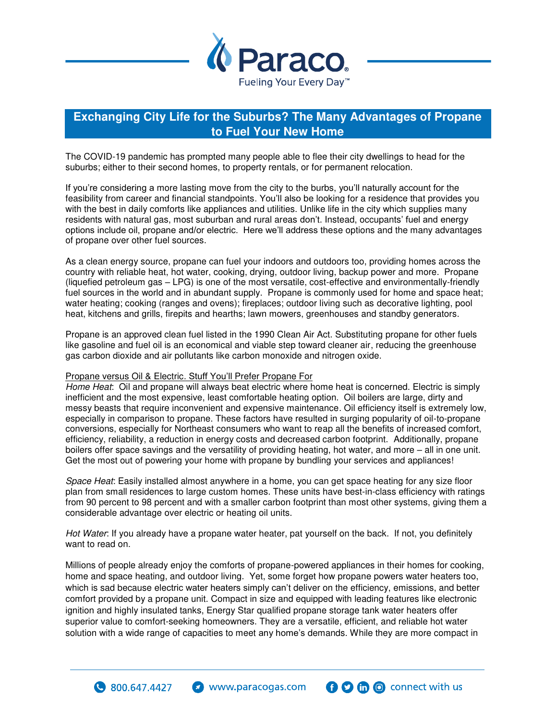

## **Exchanging City Life for the Suburbs? The Many Advantages of Propane to Fuel Your New Home**

The COVID-19 pandemic has prompted many people able to flee their city dwellings to head for the suburbs; either to their second homes, to property rentals, or for permanent relocation.

If you're considering a more lasting move from the city to the burbs, you'll naturally account for the feasibility from career and financial standpoints. You'll also be looking for a residence that provides you with the best in daily comforts like appliances and utilities. Unlike life in the city which supplies many residents with natural gas, most suburban and rural areas don't. Instead, occupants' fuel and energy options include oil, propane and/or electric. Here we'll address these options and the many advantages of propane over other fuel sources.

As a clean energy source, propane can fuel your indoors and outdoors too, providing homes across the country with reliable heat, hot water, cooking, drying, outdoor living, backup power and more. Propane (liquefied petroleum gas – LPG) is one of the most versatile, cost-effective and environmentally-friendly fuel sources in the world and in abundant supply. Propane is commonly used for home and space heat; water heating; cooking (ranges and ovens); fireplaces; outdoor living such as decorative lighting, pool heat, kitchens and grills, firepits and hearths; lawn mowers, greenhouses and standby generators.

Propane is an approved clean fuel listed in the 1990 Clean Air Act. Substituting propane for other fuels like gasoline and fuel oil is an economical and viable step toward cleaner air, reducing the greenhouse gas carbon dioxide and air pollutants like carbon monoxide and nitrogen oxide.

## Propane versus Oil & Electric. Stuff You'll Prefer Propane For

 $\bullet$  800.647.4427

*Home Heat*: Oil and propane will always beat electric where home heat is concerned. Electric is simply inefficient and the most expensive, least comfortable heating option. Oil boilers are large, dirty and messy beasts that require inconvenient and expensive maintenance. Oil efficiency itself is extremely low, especially in comparison to propane. These factors have resulted in surging popularity of oil-to-propane conversions, especially for Northeast consumers who want to reap all the benefits of increased comfort, efficiency, reliability, a reduction in energy costs and decreased carbon footprint. Additionally, propane boilers offer space savings and the versatility of providing heating, hot water, and more – all in one unit. Get the most out of powering your home with propane by bundling your services and appliances!

*Space Heat*: Easily installed almost anywhere in a home, you can get space heating for any size floor plan from small residences to large custom homes. These units have best-in-class efficiency with ratings from 90 percent to 98 percent and with a smaller carbon footprint than most other systems, giving them a considerable advantage over electric or heating oil units.

*Hot Water*: If you already have a propane water heater, pat yourself on the back. If not, you definitely want to read on.

Millions of people already enjoy the comforts of propane-powered appliances in their homes for cooking, home and space heating, and outdoor living. Yet, some forget how propane powers water heaters too, which is sad because electric water heaters simply can't deliver on the efficiency, emissions, and better comfort provided by a propane unit. Compact in size and equipped with leading features like electronic ignition and highly insulated tanks, Energy Star qualified propane storage tank water heaters offer superior value to comfort-seeking homeowners. They are a versatile, efficient, and reliable hot water solution with a wide range of capacities to meet any home's demands. While they are more compact in

 $\bullet$  www.paracogas.com

**O** to **O** connect with us